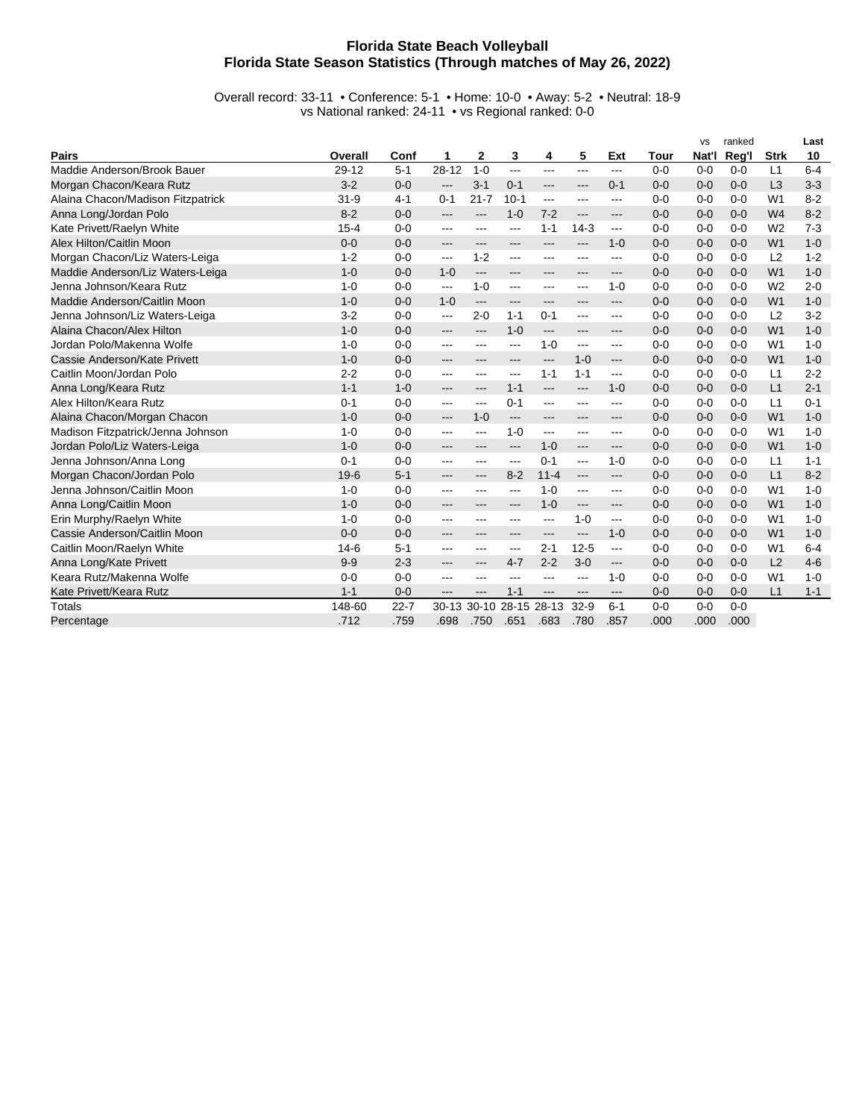## **Florida State Beach Volleyball Florida State Season Statistics (Through matches of May 26, 2022)**

Overall record: 33-11 • Conference: 5-1 • Home: 10-0 • Away: 5-2 • Neutral: 18-9 vs National ranked: 24-11 • vs Regional ranked: 0-0

|                                   |          |          |           |           |           |                                          |          |                |         | <b>VS</b> | ranked  |                | Last    |
|-----------------------------------|----------|----------|-----------|-----------|-----------|------------------------------------------|----------|----------------|---------|-----------|---------|----------------|---------|
| <b>Pairs</b>                      | Overall  | Conf     | 1         | 2         | 3         | 4                                        | 5        | Ext            | Tour    | Nat'l     | Reg'l   | <b>Strk</b>    | 10      |
| Maddie Anderson/Brook Bauer       | 29-12    | $5 - 1$  | $28 - 12$ | $1 - 0$   | ---       | ---                                      | $---$    | ---            | $0 - 0$ | $0 - 0$   | $0 - 0$ | L1             | $6 - 4$ |
| Morgan Chacon/Keara Rutz          | $3 - 2$  | $0 - 0$  | $---$     | $3 - 1$   | $0 - 1$   | $\hspace{0.05cm} \ldots \hspace{0.05cm}$ | ---      | $0 - 1$        | $0 - 0$ | $0 - 0$   | $0 - 0$ | L3             | $3 - 3$ |
| Alaina Chacon/Madison Fitzpatrick | $31 - 9$ | $4 - 1$  | $0 - 1$   | $21 - 7$  | $10-1$    | ---                                      | ---      | ---            | $0 - 0$ | $0 - 0$   | $0 - 0$ | W <sub>1</sub> | $8 - 2$ |
| Anna Long/Jordan Polo             | $8 - 2$  | $0 - 0$  | ---       | ---       | $1 - 0$   | $7 - 2$                                  | ---      | ---            | $0 - 0$ | $0 - 0$   | $0 - 0$ | W <sub>4</sub> | $8 - 2$ |
| Kate Privett/Raelyn White         | $15 - 4$ | $0 - 0$  | ---       | ---       | ---       | $1 - 1$                                  | $14-3$   | $\overline{a}$ | $0 - 0$ | $0 - 0$   | $0 - 0$ | W <sub>2</sub> | $7 - 3$ |
| Alex Hilton/Caitlin Moon          | $0 - 0$  | $0 - 0$  | ---       | ---       | ---       | ---                                      | ---      | $1 - 0$        | $0 - 0$ | $0 - 0$   | $0 - 0$ | W <sub>1</sub> | $1 - 0$ |
| Morgan Chacon/Liz Waters-Leiga    | $1 - 2$  | $0 - 0$  | ---       | $1 - 2$   | ---       | ---                                      | ---      | ---            | $0 - 0$ | $0 - 0$   | $0 - 0$ | L2             | $1 - 2$ |
| Maddie Anderson/Liz Waters-Leiga  | $1 - 0$  | $0 - 0$  | $1 - 0$   | ---       | ---       | ---                                      |          | ---            | $0 - 0$ | $0 - 0$   | $0 - 0$ | W <sub>1</sub> | $1 - 0$ |
| Jenna Johnson/Keara Rutz          | $1 - 0$  | $0 - 0$  | ---       | $1 - 0$   | ---       | ---                                      | ---      | $1 - 0$        | $0 - 0$ | $0 - 0$   | $0 - 0$ | W <sub>2</sub> | $2 - 0$ |
| Maddie Anderson/Caitlin Moon      | $1 - 0$  | $0 - 0$  | $1 - 0$   | $---$     | ---       | ---                                      | ---      | $---$          | $0 - 0$ | $0 - 0$   | $0 - 0$ | W <sub>1</sub> | $1 - 0$ |
| Jenna Johnson/Liz Waters-Leiga    | $3 - 2$  | $0 - 0$  | ---       | $2 - 0$   | $1 - 1$   | $0 - 1$                                  | ---      | ---            | $0 - 0$ | $0 - 0$   | $0 - 0$ | L2             | $3 - 2$ |
| Alaina Chacon/Alex Hilton         | $1 - 0$  | $0 - 0$  | ---       | ---       | $1 - 0$   | $---$                                    | ---      | ---            | $0 - 0$ | $0 - 0$   | $0 - 0$ | W <sub>1</sub> | $1 - 0$ |
| Jordan Polo/Makenna Wolfe         | $1 - 0$  | $0 - 0$  | ---       | ---       | ---       | $1 - 0$                                  | ---      | ---            | $0 - 0$ | $0 - 0$   | $0 - 0$ | W <sub>1</sub> | $1 - 0$ |
| Cassie Anderson/Kate Privett      | $1 - 0$  | $0 - 0$  | ---       | ---       | ---       | ---                                      | $1 - 0$  | $---$          | $0 - 0$ | $0 - 0$   | $0 - 0$ | W <sub>1</sub> | $1 - 0$ |
| Caitlin Moon/Jordan Polo          | $2 - 2$  | $0 - 0$  | ---       | ---       | ---       | $1 - 1$                                  | $1 - 1$  | $---$          | $0 - 0$ | $0 - 0$   | $0 - 0$ | L1             | $2 - 2$ |
| Anna Long/Keara Rutz              | $1 - 1$  | $1 - 0$  | ---       | ---       | $1 - 1$   | $---$                                    | $---$    | $1 - 0$        | $0 - 0$ | $0 - 0$   | $0 - 0$ | L1             | $2 - 1$ |
| Alex Hilton/Keara Rutz            | $0 - 1$  | $0 - 0$  | ---       | ---       | $0 - 1$   | ---                                      | ---      | ---            | $0 - 0$ | $0 - 0$   | $0 - 0$ | L1             | $0 - 1$ |
| Alaina Chacon/Morgan Chacon       | $1 - 0$  | $0 - 0$  | ---       | $1 - 0$   | $---$     | ---                                      | ---      | ---            | $0 - 0$ | $0 - 0$   | $0-0$   | W <sub>1</sub> | $1 - 0$ |
| Madison Fitzpatrick/Jenna Johnson | $1 - 0$  | $0 - 0$  | ---       | ---       | $1 - 0$   | ---                                      | ---      | ---            | $0 - 0$ | $0 - 0$   | $0 - 0$ | W <sub>1</sub> | $1 - 0$ |
| Jordan Polo/Liz Waters-Leiga      | $1 - 0$  | $0 - 0$  | ---       | ---       | ---       | $1 - 0$                                  | ---      | ---            | $0 - 0$ | $0 - 0$   | $0 - 0$ | W <sub>1</sub> | $1 - 0$ |
| Jenna Johnson/Anna Long           | $0 - 1$  | $0 - 0$  | ---       | ---       | ---       | $0 - 1$                                  | ---      | $1 - 0$        | $0 - 0$ | $0 - 0$   | $0 - 0$ | L1             | $1 - 1$ |
| Morgan Chacon/Jordan Polo         | $19-6$   | $5 - 1$  | ---       | ---       | $8 - 2$   | $11 - 4$                                 | ---      | $---$          | $0 - 0$ | $0 - 0$   | $0 - 0$ | L1             | $8 - 2$ |
| Jenna Johnson/Caitlin Moon        | $1 - 0$  | $0 - 0$  | ---       | ---       | ---       | $1 - 0$                                  | ---      | ---            | $0 - 0$ | $0 - 0$   | $0 - 0$ | W <sub>1</sub> | $1 - 0$ |
| Anna Long/Caitlin Moon            | $1 - 0$  | $0 - 0$  | ---       | ---       | ---       | $1 - 0$                                  | ---      | ---            | $0 - 0$ | $0 - 0$   | $0 - 0$ | W <sub>1</sub> | $1 - 0$ |
| Erin Murphy/Raelyn White          | $1 - 0$  | $0 - 0$  | $---$     | ---       | ---       | ---                                      | $1 - 0$  | ---            | $0 - 0$ | $0 - 0$   | $0 - 0$ | W <sub>1</sub> | $1 - 0$ |
| Cassie Anderson/Caitlin Moon      | $0 - 0$  | $0 - 0$  | ---       | ---       | ---       | ---                                      | ---      | $1 - 0$        | $0 - 0$ | $0 - 0$   | $0 - 0$ | W <sub>1</sub> | $1 - 0$ |
| Caitlin Moon/Raelyn White         | $14-6$   | $5 - 1$  | ---       | ---       | ---       | $2 - 1$                                  | $12 - 5$ | $\overline{a}$ | $0 - 0$ | $0 - 0$   | $0 - 0$ | W <sub>1</sub> | $6 - 4$ |
| Anna Long/Kate Privett            | $9 - 9$  | $2 - 3$  | ---       | ---       | $4 - 7$   | $2 - 2$                                  | $3-0$    | ---            | $0 - 0$ | $0 - 0$   | $0 - 0$ | L2             | $4 - 6$ |
| Keara Rutz/Makenna Wolfe          | $0 - 0$  | $0 - 0$  | ---       | ---       | ---       | ---                                      | ---      | $1 - 0$        | $0 - 0$ | $0 - 0$   | $0 - 0$ | W <sub>1</sub> | $1 - 0$ |
| Kate Privett/Keara Rutz           | $1 - 1$  | $0 - 0$  | ---       | ---       | $1 - 1$   | ---                                      | ---      | $---$          | $0 - 0$ | $0 - 0$   | $0-0$   | L1             | $1 - 1$ |
| <b>Totals</b>                     | 148-60   | $22 - 7$ | $30 - 13$ | $30 - 10$ | $28 - 15$ | 28-13                                    | $32-9$   | $6 - 1$        | $0 - 0$ | $0 - 0$   | $0 - 0$ |                |         |
| Percentage                        | .712     | .759     | .698      | .750      | .651      | .683                                     | .780     | .857           | .000    | .000      | .000    |                |         |